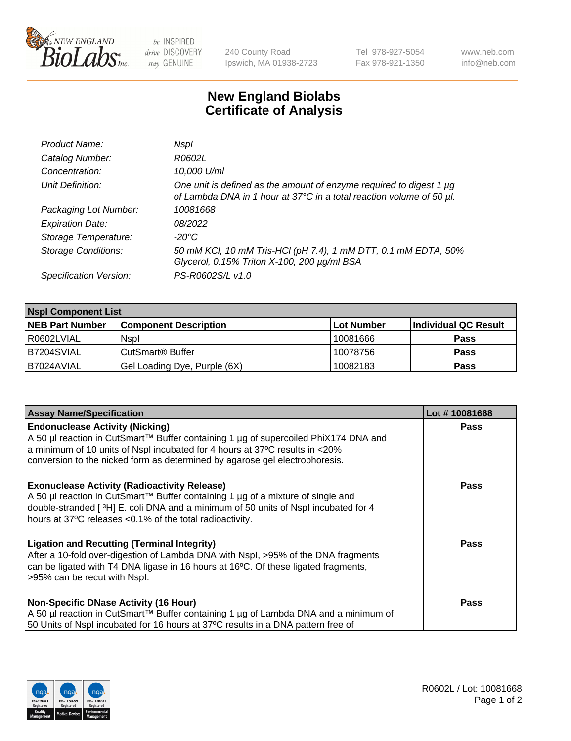

 $be$  INSPIRED drive DISCOVERY stay GENUINE

240 County Road Ipswich, MA 01938-2723 Tel 978-927-5054 Fax 978-921-1350 www.neb.com info@neb.com

## **New England Biolabs Certificate of Analysis**

| Product Name:              | Nspl                                                                                                                                             |
|----------------------------|--------------------------------------------------------------------------------------------------------------------------------------------------|
| Catalog Number:            | R0602L                                                                                                                                           |
| Concentration:             | 10,000 U/ml                                                                                                                                      |
| Unit Definition:           | One unit is defined as the amount of enzyme required to digest 1 $\mu$ g<br>of Lambda DNA in 1 hour at 37°C in a total reaction volume of 50 µl. |
| Packaging Lot Number:      | 10081668                                                                                                                                         |
| <b>Expiration Date:</b>    | 08/2022                                                                                                                                          |
| Storage Temperature:       | -20°C                                                                                                                                            |
| <b>Storage Conditions:</b> | 50 mM KCl, 10 mM Tris-HCl (pH 7.4), 1 mM DTT, 0.1 mM EDTA, 50%<br>Glycerol, 0.15% Triton X-100, 200 µg/ml BSA                                    |
| Specification Version:     | PS-R0602S/L v1.0                                                                                                                                 |

| <b>Nspl Component List</b> |                              |             |                      |  |  |
|----------------------------|------------------------------|-------------|----------------------|--|--|
| <b>NEB Part Number</b>     | <b>Component Description</b> | ∣Lot Number | Individual QC Result |  |  |
| R0602LVIAL                 | <b>Nspl</b>                  | 10081666    | <b>Pass</b>          |  |  |
| IB7204SVIAL                | CutSmart® Buffer             | 10078756    | <b>Pass</b>          |  |  |
| IB7024AVIAL                | Gel Loading Dye, Purple (6X) | 10082183    | <b>Pass</b>          |  |  |

| <b>Assay Name/Specification</b>                                                                                                                                         | Lot #10081668 |
|-------------------------------------------------------------------------------------------------------------------------------------------------------------------------|---------------|
| <b>Endonuclease Activity (Nicking)</b>                                                                                                                                  | <b>Pass</b>   |
| A 50 µl reaction in CutSmart™ Buffer containing 1 µg of supercoiled PhiX174 DNA and<br>a minimum of 10 units of Nspl incubated for 4 hours at 37°C results in <20%      |               |
| conversion to the nicked form as determined by agarose gel electrophoresis.                                                                                             |               |
| <b>Exonuclease Activity (Radioactivity Release)</b>                                                                                                                     | <b>Pass</b>   |
| A 50 µl reaction in CutSmart™ Buffer containing 1 µg of a mixture of single and                                                                                         |               |
| double-stranded [3H] E. coli DNA and a minimum of 50 units of Nspl incubated for 4<br>hours at 37°C releases <0.1% of the total radioactivity.                          |               |
| <b>Ligation and Recutting (Terminal Integrity)</b>                                                                                                                      | <b>Pass</b>   |
| After a 10-fold over-digestion of Lambda DNA with Nspl, >95% of the DNA fragments<br>can be ligated with T4 DNA ligase in 16 hours at 16°C. Of these ligated fragments, |               |
| >95% can be recut with Nspl.                                                                                                                                            |               |
|                                                                                                                                                                         |               |
| <b>Non-Specific DNase Activity (16 Hour)</b>                                                                                                                            | <b>Pass</b>   |
| A 50 µl reaction in CutSmart™ Buffer containing 1 µg of Lambda DNA and a minimum of                                                                                     |               |
| 50 Units of Nspl incubated for 16 hours at 37°C results in a DNA pattern free of                                                                                        |               |